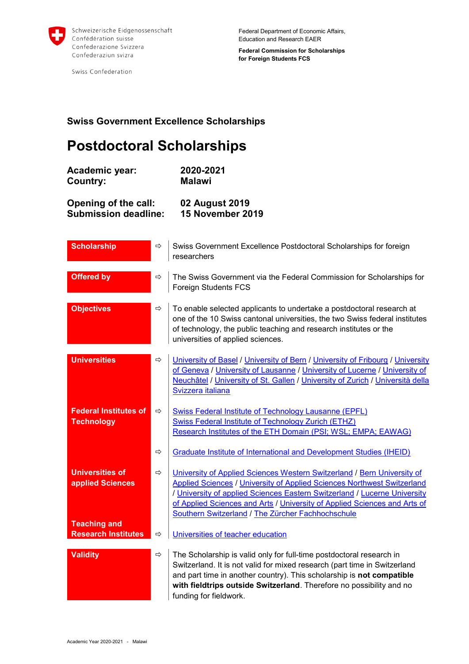

Swiss Confederation

Federal Department of Economic Affairs, Education and Research EAER

**Federal Commission for Scholarships for Foreign Students FCS**

## **Swiss Government Excellence Scholarships**

## **Postdoctoral Scholarships**

**Academic year: 2020-2021 Country: Malawi**

**Opening of the call: 02 August 2019 Submission deadline:** 

| <b>Scholarship</b>                                | $\Rightarrow$ | Swiss Government Excellence Postdoctoral Scholarships for foreign<br>researchers                                                                                                                                                                                                                                                                                  |
|---------------------------------------------------|---------------|-------------------------------------------------------------------------------------------------------------------------------------------------------------------------------------------------------------------------------------------------------------------------------------------------------------------------------------------------------------------|
| <b>Offered by</b>                                 | ⇨             | The Swiss Government via the Federal Commission for Scholarships for<br><b>Foreign Students FCS</b>                                                                                                                                                                                                                                                               |
| <b>Objectives</b>                                 | ⇨             | To enable selected applicants to undertake a postdoctoral research at<br>one of the 10 Swiss cantonal universities, the two Swiss federal institutes<br>of technology, the public teaching and research institutes or the<br>universities of applied sciences.                                                                                                    |
| <b>Universities</b>                               | ⇨             | University of Basel / University of Bern / University of Fribourg / University<br>of Geneva / University of Lausanne / University of Lucerne / University of<br>Neuchâtel / University of St. Gallen / University of Zurich / Università della<br>Svizzera italiana                                                                                               |
| <b>Federal Institutes of</b><br><b>Technology</b> | ⇨             | <b>Swiss Federal Institute of Technology Lausanne (EPFL)</b><br>Swiss Federal Institute of Technology Zurich (ETHZ)<br>Research Institutes of the ETH Domain (PSI; WSL; EMPA; EAWAG)                                                                                                                                                                              |
|                                                   | $\Rightarrow$ | <b>Graduate Institute of International and Development Studies (IHEID)</b>                                                                                                                                                                                                                                                                                        |
| <b>Universities of</b><br>applied Sciences        | $\Rightarrow$ | University of Applied Sciences Western Switzerland / Bern University of<br>Applied Sciences / University of Applied Sciences Northwest Switzerland<br>/ University of applied Sciences Eastern Switzerland / Lucerne University<br>of Applied Sciences and Arts / University of Applied Sciences and Arts of<br>Southern Switzerland / The Zürcher Fachhochschule |
| <b>Teaching and</b><br><b>Research Institutes</b> | ⇨             | Universities of teacher education                                                                                                                                                                                                                                                                                                                                 |
| <b>Validity</b>                                   | $\Rightarrow$ | The Scholarship is valid only for full-time postdoctoral research in<br>Switzerland. It is not valid for mixed research (part time in Switzerland<br>and part time in another country). This scholarship is not compatible<br>with fieldtrips outside Switzerland. Therefore no possibility and no<br>funding for fieldwork.                                      |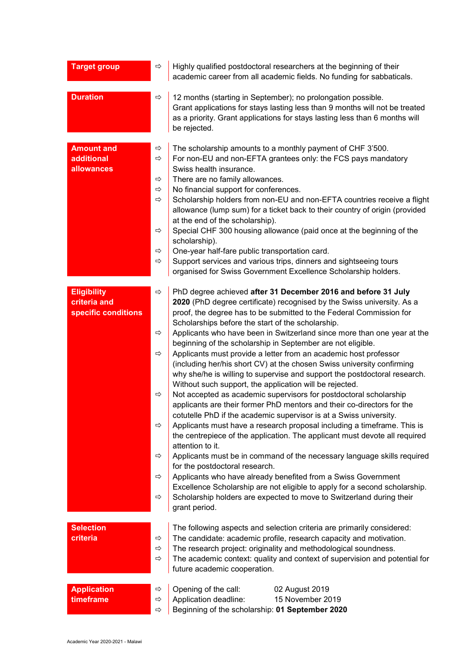| <b>Target group</b>                                       | ⇨                                                                        | Highly qualified postdoctoral researchers at the beginning of their<br>academic career from all academic fields. No funding for sabbaticals.                                                                                                                                                                                                                                                                                                                                                                                                                                                                                                                                                                                                                                                                                                                                                                                                                                                                                                                                                                                                                                                                                                                                                                                                                                                                                                               |
|-----------------------------------------------------------|--------------------------------------------------------------------------|------------------------------------------------------------------------------------------------------------------------------------------------------------------------------------------------------------------------------------------------------------------------------------------------------------------------------------------------------------------------------------------------------------------------------------------------------------------------------------------------------------------------------------------------------------------------------------------------------------------------------------------------------------------------------------------------------------------------------------------------------------------------------------------------------------------------------------------------------------------------------------------------------------------------------------------------------------------------------------------------------------------------------------------------------------------------------------------------------------------------------------------------------------------------------------------------------------------------------------------------------------------------------------------------------------------------------------------------------------------------------------------------------------------------------------------------------------|
| <b>Duration</b>                                           | ⇨                                                                        | 12 months (starting in September); no prolongation possible.<br>Grant applications for stays lasting less than 9 months will not be treated<br>as a priority. Grant applications for stays lasting less than 6 months will<br>be rejected.                                                                                                                                                                                                                                                                                                                                                                                                                                                                                                                                                                                                                                                                                                                                                                                                                                                                                                                                                                                                                                                                                                                                                                                                                 |
| <b>Amount and</b><br>additional<br>allowances             | ⇨<br>⇨<br>⇨<br>⇨<br>⇨<br>$\Rightarrow$<br>$\Rightarrow$<br>⇨             | The scholarship amounts to a monthly payment of CHF 3'500.<br>For non-EU and non-EFTA grantees only: the FCS pays mandatory<br>Swiss health insurance.<br>There are no family allowances.<br>No financial support for conferences.<br>Scholarship holders from non-EU and non-EFTA countries receive a flight<br>allowance (lump sum) for a ticket back to their country of origin (provided<br>at the end of the scholarship).<br>Special CHF 300 housing allowance (paid once at the beginning of the<br>scholarship).<br>One-year half-fare public transportation card.<br>Support services and various trips, dinners and sightseeing tours<br>organised for Swiss Government Excellence Scholarship holders.                                                                                                                                                                                                                                                                                                                                                                                                                                                                                                                                                                                                                                                                                                                                          |
| <b>Eligibility</b><br>criteria and<br>specific conditions | ⇨<br>⇨<br>⇨<br>⇨<br>$\Rightarrow$<br>$\Rightarrow$<br>⇨<br>$\Rightarrow$ | PhD degree achieved after 31 December 2016 and before 31 July<br>2020 (PhD degree certificate) recognised by the Swiss university. As a<br>proof, the degree has to be submitted to the Federal Commission for<br>Scholarships before the start of the scholarship.<br>Applicants who have been in Switzerland since more than one year at the<br>beginning of the scholarship in September are not eligible.<br>Applicants must provide a letter from an academic host professor<br>(including her/his short CV) at the chosen Swiss university confirming<br>why she/he is willing to supervise and support the postdoctoral research.<br>Without such support, the application will be rejected.<br>Not accepted as academic supervisors for postdoctoral scholarship<br>applicants are their former PhD mentors and their co-directors for the<br>cotutelle PhD if the academic supervisor is at a Swiss university.<br>Applicants must have a research proposal including a timeframe. This is<br>the centrepiece of the application. The applicant must devote all required<br>attention to it.<br>Applicants must be in command of the necessary language skills required<br>for the postdoctoral research.<br>Applicants who have already benefited from a Swiss Government<br>Excellence Scholarship are not eligible to apply for a second scholarship.<br>Scholarship holders are expected to move to Switzerland during their<br>grant period. |
| <b>Selection</b><br>criteria                              | ⇨<br>$\Rightarrow$<br>$\Rightarrow$                                      | The following aspects and selection criteria are primarily considered:<br>The candidate: academic profile, research capacity and motivation.<br>The research project: originality and methodological soundness.<br>The academic context: quality and context of supervision and potential for<br>future academic cooperation.                                                                                                                                                                                                                                                                                                                                                                                                                                                                                                                                                                                                                                                                                                                                                                                                                                                                                                                                                                                                                                                                                                                              |
| <b>Application</b><br>timeframe                           | ⇨<br>⇨<br>⇨                                                              | Opening of the call:<br>02 August 2019<br>Application deadline:<br>15 November 2019<br>Beginning of the scholarship: 01 September 2020                                                                                                                                                                                                                                                                                                                                                                                                                                                                                                                                                                                                                                                                                                                                                                                                                                                                                                                                                                                                                                                                                                                                                                                                                                                                                                                     |